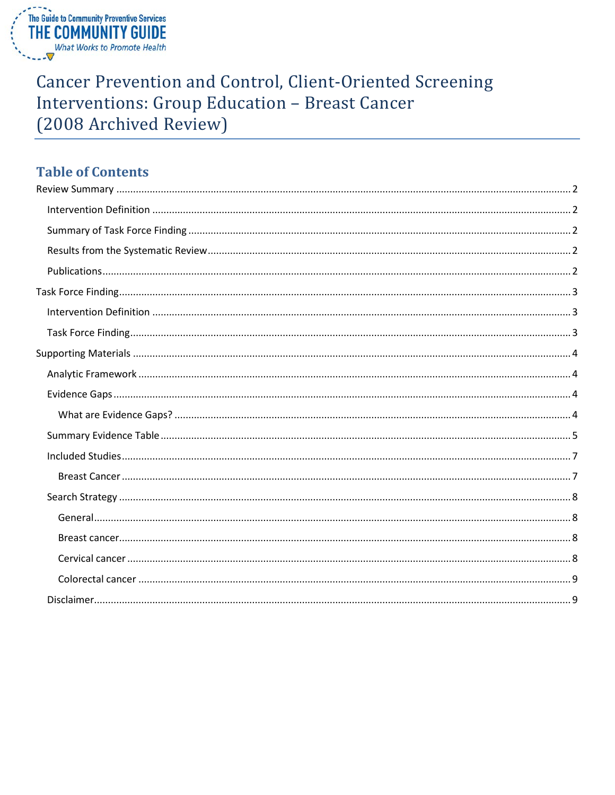

## **Cancer Prevention and Control, Client-Oriented Screening Interventions: Group Education - Breast Cancer** (2008 Archived Review)

## **Table of Contents**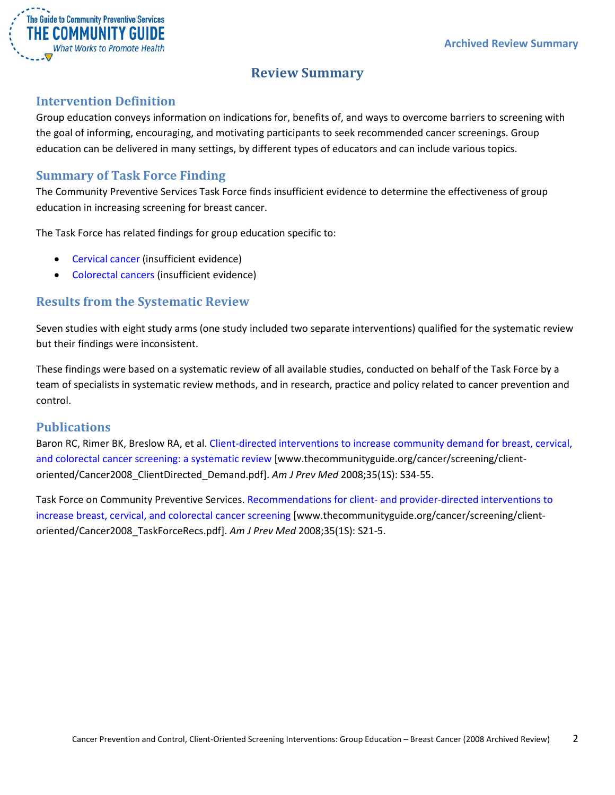

## **Review Summary**

#### <span id="page-1-1"></span><span id="page-1-0"></span>**Intervention Definition**

Group education conveys information on indications for, benefits of, and ways to overcome barriers to screening with the goal of informing, encouraging, and motivating participants to seek recommended cancer screenings. Group education can be delivered in many settings, by different types of educators and can include various topics.

#### <span id="page-1-2"></span>**Summary of Task Force Finding**

The Community Preventive Services Task Force finds insufficient evidence to determine the effectiveness of group education in increasing screening for breast cancer.

The Task Force has related findings for group education specific to:

- Cervical cancer (insufficient evidence)
- Colorectal cancers (insufficient evidence)

#### <span id="page-1-3"></span>**Results from the Systematic Review**

Seven studies with eight study arms (one study included two separate interventions) qualified for the systematic review but their findings were inconsistent.

These findings were based on a systematic review of all available studies, conducted on behalf of the Task Force by a team of specialists in systematic review methods, and in research, practice and policy related to cancer prevention and control.

#### <span id="page-1-4"></span>**Publications**

Baron RC, Rimer BK, Breslow RA, et al. [Client-directed interventions to increase community demand for breast, cervical,](http://www.thecommunityguide.org/cancer/screening/client-oriented/Cancer2008_ClientDirected_Demand.pdf)  [and colorectal cancer screening: a systematic review](http://www.thecommunityguide.org/cancer/screening/client-oriented/Cancer2008_ClientDirected_Demand.pdf) [www.thecommunityguide.org/cancer/screening/clientoriented/Cancer2008\_ClientDirected\_Demand.pdf]. *Am J Prev Med* 2008;35(1S): S34-55.

Task Force on Community Preventive Services. Recommendations for client- [and provider-directed interventions to](http://www.thecommunityguide.org/cancer/screening/client-oriented/Cancer2008_TaskForceRecs.pdf)  [increase breast, cervical, and colorectal cancer screening](http://www.thecommunityguide.org/cancer/screening/client-oriented/Cancer2008_TaskForceRecs.pdf) [www.thecommunityguide.org/cancer/screening/clientoriented/Cancer2008\_TaskForceRecs.pdf]. *Am J Prev Med* 2008;35(1S): S21-5.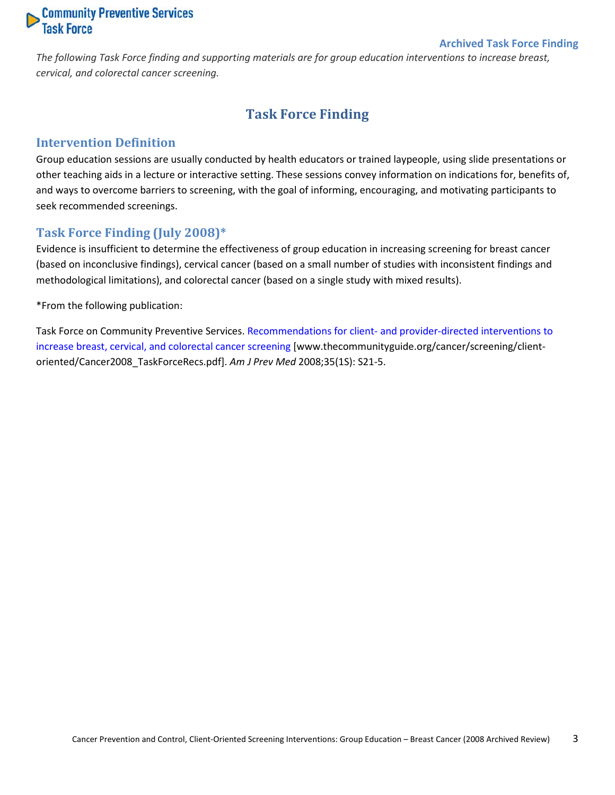# **Community Preventive Services**<br>Task Force

#### **Archived Task Force Finding**

<span id="page-2-0"></span>*The following Task Force finding and supporting materials are for group education interventions to increase breast, cervical, and colorectal cancer screening.*

## **Task Force Finding**

#### <span id="page-2-1"></span>**Intervention Definition**

Group education sessions are usually conducted by health educators or trained laypeople, using slide presentations or other teaching aids in a lecture or interactive setting. These sessions convey information on indications for, benefits of, and ways to overcome barriers to screening, with the goal of informing, encouraging, and motivating participants to seek recommended screenings.

#### <span id="page-2-2"></span>**Task Force Finding (July 2008)\***

Evidence is insufficient to determine the effectiveness of group education in increasing screening for breast cancer (based on inconclusive findings), cervical cancer (based on a small number of studies with inconsistent findings and methodological limitations), and colorectal cancer (based on a single study with mixed results).

\*From the following publication:

Task Force on Community Preventive Services. Recommendations for client- [and provider-directed interventions to](http://www.thecommunityguide.org/cancer/screening/client-oriented/Cancer2008_TaskForceRecs.pdf)  [increase breast, cervical, and colorectal cancer screening](http://www.thecommunityguide.org/cancer/screening/client-oriented/Cancer2008_TaskForceRecs.pdf) [www.thecommunityguide.org/cancer/screening/clientoriented/Cancer2008\_TaskForceRecs.pdf]. *Am J Prev Med* 2008;35(1S): S21-5.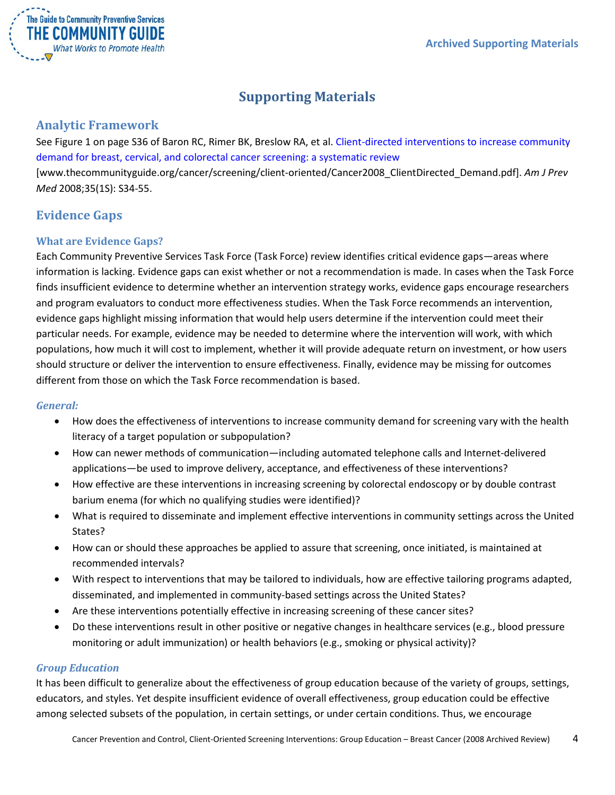

## **Supporting Materials**

#### <span id="page-3-1"></span><span id="page-3-0"></span>**Analytic Framework**

See Figure 1 on page S36 of Baron RC, Rimer BK, Breslow RA, et al. [Client-directed interventions to increase community](http://www.thecommunityguide.org/cancer/screening/client-oriented/Cancer2008_ClientDirected_Demand.pdf)  [demand for breast, cervical, and colorectal cancer screening: a systematic review](http://www.thecommunityguide.org/cancer/screening/client-oriented/Cancer2008_ClientDirected_Demand.pdf) [www.thecommunityguide.org/cancer/screening/client-oriented/Cancer2008\_ClientDirected\_Demand.pdf]. *Am J Prev Med* 2008;35(1S): S34-55.

### <span id="page-3-2"></span>**Evidence Gaps**

#### <span id="page-3-3"></span>**What are Evidence Gaps?**

Each Community Preventive Services Task Force (Task Force) review identifies critical evidence gaps—areas where information is lacking. Evidence gaps can exist whether or not a recommendation is made. In cases when the Task Force finds insufficient evidence to determine whether an intervention strategy works, evidence gaps encourage researchers and program evaluators to conduct more effectiveness studies. When the Task Force recommends an intervention, evidence gaps highlight missing information that would help users determine if the intervention could meet their particular needs. For example, evidence may be needed to determine where the intervention will work, with which populations, how much it will cost to implement, whether it will provide adequate return on investment, or how users should structure or deliver the intervention to ensure effectiveness. Finally, evidence may be missing for outcomes different from those on which the Task Force recommendation is based.

#### *General:*

- How does the effectiveness of interventions to increase community demand for screening vary with the health literacy of a target population or subpopulation?
- How can newer methods of communication—including automated telephone calls and Internet-delivered applications—be used to improve delivery, acceptance, and effectiveness of these interventions?
- How effective are these interventions in increasing screening by colorectal endoscopy or by double contrast barium enema (for which no qualifying studies were identified)?
- What is required to disseminate and implement effective interventions in community settings across the United States?
- How can or should these approaches be applied to assure that screening, once initiated, is maintained at recommended intervals?
- With respect to interventions that may be tailored to individuals, how are effective tailoring programs adapted, disseminated, and implemented in community-based settings across the United States?
- Are these interventions potentially effective in increasing screening of these cancer sites?
- Do these interventions result in other positive or negative changes in healthcare services (e.g., blood pressure monitoring or adult immunization) or health behaviors (e.g., smoking or physical activity)?

#### *Group Education*

It has been difficult to generalize about the effectiveness of group education because of the variety of groups, settings, educators, and styles. Yet despite insufficient evidence of overall effectiveness, group education could be effective among selected subsets of the population, in certain settings, or under certain conditions. Thus, we encourage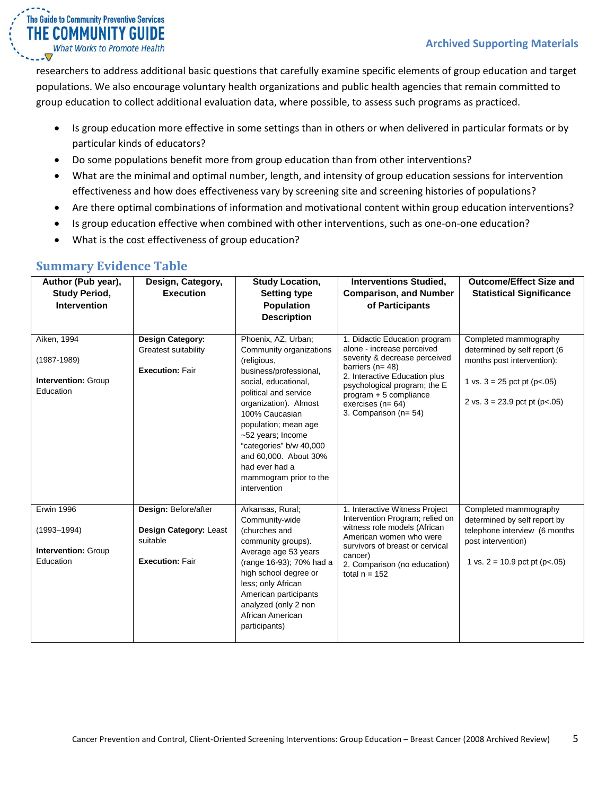researchers to address additional basic questions that carefully examine specific elements of group education and target populations. We also encourage voluntary health organizations and public health agencies that remain committed to group education to collect additional evaluation data, where possible, to assess such programs as practiced.

- Is group education more effective in some settings than in others or when delivered in particular formats or by particular kinds of educators?
- Do some populations benefit more from group education than from other interventions?
- What are the minimal and optimal number, length, and intensity of group education sessions for intervention effectiveness and how does effectiveness vary by screening site and screening histories of populations?
- Are there optimal combinations of information and motivational content within group education interventions?
- Is group education effective when combined with other interventions, such as one-on-one education?
- What is the cost effectiveness of group education?

#### **Author (Pub year), Study Period, Intervention Design, Category, Execution Study Location, Setting type Population Description Interventions Studied, Comparison, and Number of Participants Outcome/Effect Size and Statistical Significance** Aiken, 1994 (1987-1989) **Intervention:** Group Education **Design Category:** Greatest suitability **Execution: Fair** Phoenix, AZ, Urban; Community organizations (religious, business/professional, social, educational, political and service organization). Almost 100% Caucasian population; mean age ~52 years; Income "categories" b/w 40,000 and 60,000. About 30% had ever had a mammogram prior to the intervention 1. Didactic Education program alone - increase perceived severity & decrease perceived barriers (n= 48) 2. Interactive Education plus psychological program; the E program + 5 compliance exercises (n= 64) 3. Comparison (n= 54) Completed mammography determined by self report (6 months post intervention): 1 vs.  $3 = 25$  pct pt (p<.05) 2 vs.  $3 = 23.9$  pct pt (p<.05) Erwin 1996 (1993–1994) **Intervention:** Group Education **Design:** Before/after **Design Category:** Least suitable **Execution: Fair** Arkansas, Rural; Community-wide (churches and community groups). Average age 53 years (range 16-93); 70% had a high school degree or less; only African American participants analyzed (only 2 non African American participants) 1. Interactive Witness Project Intervention Program; relied on witness role models (African American women who were survivors of breast or cervical cancer) 2. Comparison (no education) total  $n = 152$ Completed mammography determined by self report by telephone interview (6 months post intervention) 1 vs.  $2 = 10.9$  pct pt (p<.05)

#### <span id="page-4-0"></span>**Summary Evidence Table**

The Guide to Community Preventive Services THE COMMUNITY GUIDE **What Works to Promote Health**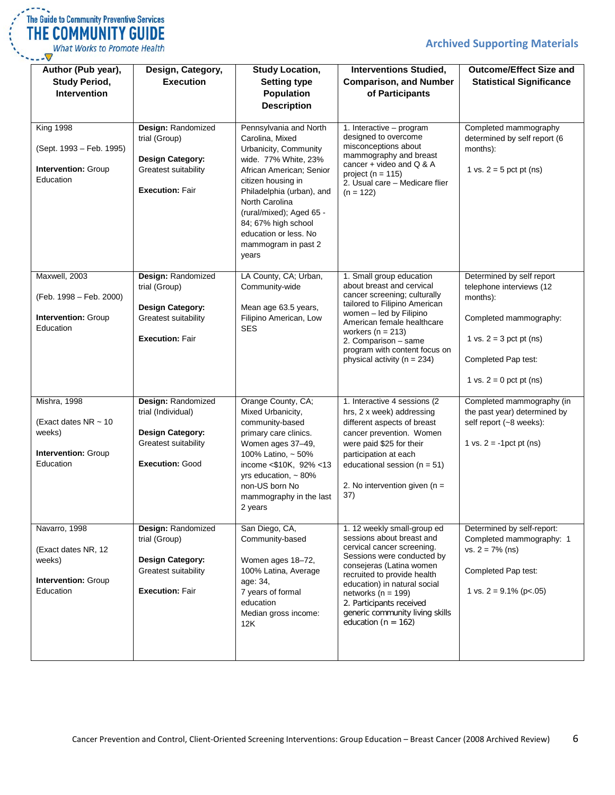#### **Archived Supporting Materials**



What Works to Promote Health  $\overline{\nabla}$ 

| Author (Pub year),<br><b>Study Period,</b><br><b>Intervention</b>                       | Design, Category,<br><b>Execution</b>                                                                                 | <b>Study Location,</b><br><b>Setting type</b><br><b>Population</b><br><b>Description</b>                                                                                                                                                                                                                | <b>Interventions Studied,</b><br><b>Comparison, and Number</b><br>of Participants                                                                                                                                                                                                                                                   | <b>Outcome/Effect Size and</b><br><b>Statistical Significance</b>                                                                                                            |
|-----------------------------------------------------------------------------------------|-----------------------------------------------------------------------------------------------------------------------|---------------------------------------------------------------------------------------------------------------------------------------------------------------------------------------------------------------------------------------------------------------------------------------------------------|-------------------------------------------------------------------------------------------------------------------------------------------------------------------------------------------------------------------------------------------------------------------------------------------------------------------------------------|------------------------------------------------------------------------------------------------------------------------------------------------------------------------------|
| <b>King 1998</b><br>(Sept. 1993 - Feb. 1995)<br><b>Intervention: Group</b><br>Education | Design: Randomized<br>trial (Group)<br><b>Design Category:</b><br>Greatest suitability<br><b>Execution: Fair</b>      | Pennsylvania and North<br>Carolina, Mixed<br>Urbanicity, Community<br>wide. 77% White, 23%<br>African American; Senior<br>citizen housing in<br>Philadelphia (urban), and<br>North Carolina<br>(rural/mixed); Aged 65 -<br>84; 67% high school<br>education or less. No<br>mammogram in past 2<br>years | 1. Interactive - program<br>designed to overcome<br>misconceptions about<br>mammography and breast<br>cancer + video and $Q & A$<br>project ( $n = 115$ )<br>2. Usual care - Medicare flier<br>$(n = 122)$                                                                                                                          | Completed mammography<br>determined by self report (6<br>months):<br>1 vs. $2 = 5$ pct pt (ns)                                                                               |
| Maxwell, 2003<br>(Feb. 1998 - Feb. 2000)<br>Intervention: Group<br>Education            | Design: Randomized<br>trial (Group)<br>Design Category:<br>Greatest suitability<br><b>Execution: Fair</b>             | LA County, CA; Urban,<br>Community-wide<br>Mean age 63.5 years,<br>Filipino American, Low<br>SES                                                                                                                                                                                                        | 1. Small group education<br>about breast and cervical<br>cancer screening; culturally<br>tailored to Filipino American<br>women - led by Filipino<br>American female healthcare<br>workers ( $n = 213$ )<br>2. Comparison - same<br>program with content focus on<br>physical activity ( $n = 234$ )                                | Determined by self report<br>telephone interviews (12<br>months):<br>Completed mammography:<br>1 vs. $2 = 3$ pct pt (ns)<br>Completed Pap test:<br>1 vs. $2 = 0$ pct pt (ns) |
| Mishra, 1998<br>(Exact dates NR $\sim$ 10<br>weeks)<br>Intervention: Group<br>Education | Design: Randomized<br>trial (Individual)<br><b>Design Category:</b><br>Greatest suitability<br><b>Execution: Good</b> | Orange County, CA;<br>Mixed Urbanicity,<br>community-based<br>primary care clinics.<br>Women ages 37-49,<br>100% Latino, ~ 50%<br>income <\$10K, 92% <13<br>yrs education, $\sim$ 80%<br>non-US born No<br>mammography in the last<br>2 years                                                           | 1. Interactive 4 sessions (2)<br>hrs, 2 x week) addressing<br>different aspects of breast<br>cancer prevention. Women<br>were paid \$25 for their<br>participation at each<br>educational session ( $n = 51$ )<br>2. No intervention given ( $n =$<br>37)                                                                           | Completed mammography (in<br>the past year) determined by<br>self report (~8 weeks):<br>1 vs. $2 = -1$ pct pt (ns)                                                           |
| Navarro, 1998<br>(Exact dates NR, 12<br>weeks)<br>Intervention: Group<br>Education      | Design: Randomized<br>trial (Group)<br><b>Design Category:</b><br>Greatest suitability<br><b>Execution: Fair</b>      | San Diego, CA,<br>Community-based<br>Women ages 18-72,<br>100% Latina, Average<br>age: 34,<br>7 years of formal<br>education<br>Median gross income:<br>12K                                                                                                                                             | 1. 12 weekly small-group ed<br>sessions about breast and<br>cervical cancer screening.<br>Sessions were conducted by<br>consejeras (Latina women<br>recruited to provide health<br>education) in natural social<br>networks ( $n = 199$ )<br>2. Participants received<br>generic community living skills<br>education ( $n = 162$ ) | Determined by self-report:<br>Completed mammography: 1<br>$vs. 2 = 7\% (ns)$<br>Completed Pap test:<br>1 vs. $2 = 9.1\%$ (p<.05)                                             |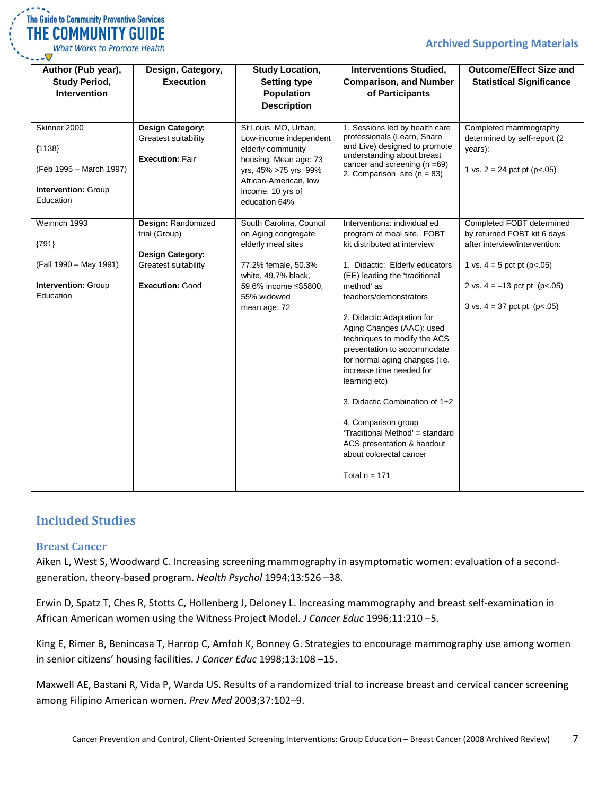#### **Archived Supporting Materials**

| $\mathcal{L} = \mathcal{L} \times \mathcal{L}$ | The Guide to Community Preventive Services |
|------------------------------------------------|--------------------------------------------|
|                                                | THE COMMUNITY GUIDE                        |
|                                                | What Works to Promote Health               |

| Author (Pub year),<br><b>Study Period,</b><br><b>Intervention</b>                       | Design, Category,<br><b>Execution</b>                                                                            | <b>Study Location,</b><br><b>Setting type</b><br><b>Population</b><br><b>Description</b>                                                                                            | <b>Interventions Studied,</b><br><b>Comparison, and Number</b><br>of Participants                                                                                                                                                                                                                                                                                                                                                                                                                                                                                                      | <b>Outcome/Effect Size and</b><br><b>Statistical Significance</b>                                                                                                                            |
|-----------------------------------------------------------------------------------------|------------------------------------------------------------------------------------------------------------------|-------------------------------------------------------------------------------------------------------------------------------------------------------------------------------------|----------------------------------------------------------------------------------------------------------------------------------------------------------------------------------------------------------------------------------------------------------------------------------------------------------------------------------------------------------------------------------------------------------------------------------------------------------------------------------------------------------------------------------------------------------------------------------------|----------------------------------------------------------------------------------------------------------------------------------------------------------------------------------------------|
| Skinner 2000<br>${1138}$<br>(Feb 1995 - March 1997)<br>Intervention: Group<br>Education | Design Category:<br>Greatest suitability<br><b>Execution: Fair</b>                                               | St Louis, MO, Urban,<br>Low-income independent<br>elderly community<br>housing. Mean age: 73<br>yrs, 45% >75 yrs 99%<br>African-American, low<br>income, 10 yrs of<br>education 64% | 1. Sessions led by health care<br>professionals (Learn, Share<br>and Live) designed to promote<br>understanding about breast<br>cancer and screening $(n = 69)$<br>2. Comparison site ( $n = 83$ )                                                                                                                                                                                                                                                                                                                                                                                     | Completed mammography<br>determined by self-report (2<br>years):<br>1 vs. $2 = 24$ pct pt (p<.05)                                                                                            |
| Weinrich 1993<br>${791}$<br>(Fall 1990 - May 1991)<br>Intervention: Group<br>Education  | Design: Randomized<br>trial (Group)<br><b>Design Category:</b><br>Greatest suitability<br><b>Execution: Good</b> | South Carolina, Council<br>on Aging congregate<br>elderly meal sites<br>77.2% female, 50.3%<br>white, 49.7% black,<br>59.6% income ≤\$5800,<br>55% widowed<br>mean age: 72          | Interventions: individual ed<br>program at meal site. FOBT<br>kit distributed at interview<br>1. Didactic: Elderly educators<br>(EE) leading the 'traditional<br>method' as<br>teachers/demonstrators<br>2. Didactic Adaptation for<br>Aging Changes (AAC): used<br>techniques to modify the ACS<br>presentation to accommodate<br>for normal aging changes (i.e.<br>increase time needed for<br>learning etc)<br>3. Didactic Combination of 1+2<br>4. Comparison group<br>'Traditional Method' = standard<br>ACS presentation & handout<br>about colorectal cancer<br>Total $n = 171$ | Completed FOBT determined<br>by returned FOBT kit 6 days<br>after interview/intervention:<br>1 vs. $4 = 5$ pct pt (p<.05)<br>2 vs. $4 = -13$ pct pt (p<.05)<br>3 vs. $4 = 37$ pct pt (p<.05) |

#### <span id="page-6-0"></span>**Included Studies**

#### <span id="page-6-1"></span>**Breast Cancer**

Aiken L, West S, Woodward C. Increasing screening mammography in asymptomatic women: evaluation of a secondgeneration, theory-based program. *Health Psychol* 1994;13:526 –38.

Erwin D, Spatz T, Ches R, Stotts C, Hollenberg J, Deloney L. Increasing mammography and breast self-examination in African American women using the Witness Project Model. *J Cancer Educ* 1996;11:210 –5.

King E, Rimer B, Benincasa T, Harrop C, Amfoh K, Bonney G. Strategies to encourage mammography use among women in senior citizens' housing facilities. *J Cancer Educ* 1998;13:108 –15.

Maxwell AE, Bastani R, Vida P, Warda US. Results of a randomized trial to increase breast and cervical cancer screening among Filipino American women. *Prev Med* 2003;37:102–9.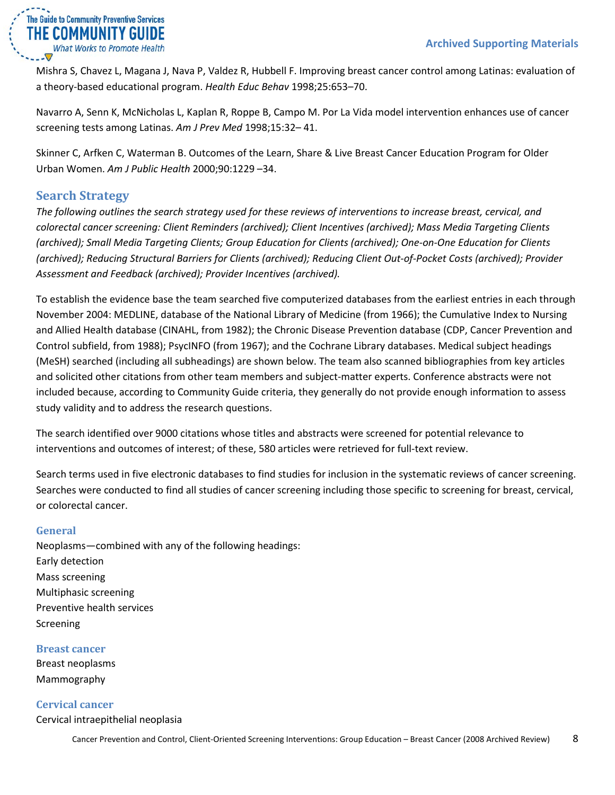

Mishra S, Chavez L, Magana J, Nava P, Valdez R, Hubbell F. Improving breast cancer control among Latinas: evaluation of a theory-based educational program. *Health Educ Behav* 1998;25:653–70.

Navarro A, Senn K, McNicholas L, Kaplan R, Roppe B, Campo M. Por La Vida model intervention enhances use of cancer screening tests among Latinas. *Am J Prev Med* 1998;15:32– 41.

Skinner C, Arfken C, Waterman B. Outcomes of the Learn, Share & Live Breast Cancer Education Program for Older Urban Women. *Am J Public Health* 2000;90:1229 –34.

#### <span id="page-7-0"></span>**Search Strategy**

*The following outlines the search strategy used for these reviews of interventions to increase breast, cervical, and colorectal cancer screening: Client Reminders (archived); Client Incentives (archived); Mass Media Targeting Clients (archived); Small Media Targeting Clients; Group Education for Clients (archived); One-on-One Education for Clients (archived); Reducing Structural Barriers for Clients (archived); Reducing Client Out-of-Pocket Costs (archived); Provider Assessment and Feedback (archived); Provider Incentives (archived).*

To establish the evidence base the team searched five computerized databases from the earliest entries in each through November 2004: MEDLINE, database of the National Library of Medicine (from 1966); the Cumulative Index to Nursing and Allied Health database (CINAHL, from 1982); the Chronic Disease Prevention database (CDP, Cancer Prevention and Control subfield, from 1988); PsycINFO (from 1967); and the Cochrane Library databases. Medical subject headings (MeSH) searched (including all subheadings) are shown below. The team also scanned bibliographies from key articles and solicited other citations from other team members and subject-matter experts. Conference abstracts were not included because, according to Community Guide criteria, they generally do not provide enough information to assess study validity and to address the research questions.

The search identified over 9000 citations whose titles and abstracts were screened for potential relevance to interventions and outcomes of interest; of these, 580 articles were retrieved for full-text review.

Search terms used in five electronic databases to find studies for inclusion in the systematic reviews of cancer screening. Searches were conducted to find all studies of cancer screening including those specific to screening for breast, cervical, or colorectal cancer.

#### <span id="page-7-1"></span>**General**

Neoplasms—combined with any of the following headings: Early detection Mass screening Multiphasic screening Preventive health services Screening

#### <span id="page-7-2"></span>**Breast cancer**

Breast neoplasms Mammography

<span id="page-7-3"></span>**Cervical cancer** Cervical intraepithelial neoplasia